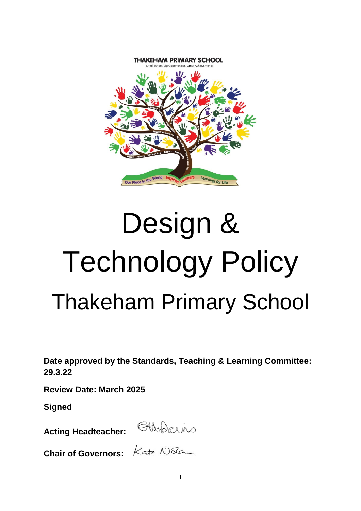

# Design & Technology Policy Thakeham Primary School

**Date approved by the Standards, Teaching & Learning Committee: 29.3.22**

**Review Date: March 2025**

**Signed**

**Acting Headteacher:** 

**Chair of Governors:**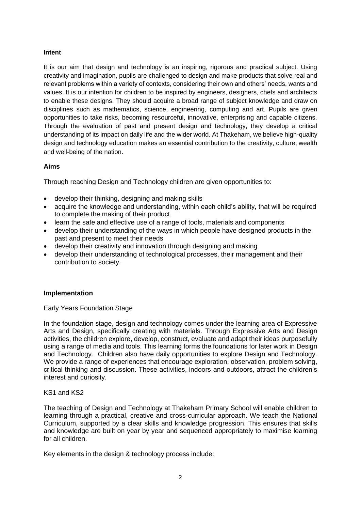#### **Intent**

It is our aim that design and technology is an inspiring, rigorous and practical subject. Using creativity and imagination, pupils are challenged to design and make products that solve real and relevant problems within a variety of contexts, considering their own and others' needs, wants and values. It is our intention for children to be inspired by engineers, designers, chefs and architects to enable these designs. They should acquire a broad range of subject knowledge and draw on disciplines such as mathematics, science, engineering, computing and art. Pupils are given opportunities to take risks, becoming resourceful, innovative, enterprising and capable citizens. Through the evaluation of past and present design and technology, they develop a critical understanding of its impact on daily life and the wider world. At Thakeham, we believe high-quality design and technology education makes an essential contribution to the creativity, culture, wealth and well-being of the nation.

#### **Aims**

Through reaching Design and Technology children are given opportunities to:

- develop their thinking, designing and making skills
- acquire the knowledge and understanding, within each child's ability, that will be required to complete the making of their product
- learn the safe and effective use of a range of tools, materials and components
- develop their understanding of the ways in which people have designed products in the past and present to meet their needs
- develop their creativity and innovation through designing and making
- develop their understanding of technological processes, their management and their contribution to society.

#### **Implementation**

Early Years Foundation Stage

In the foundation stage, design and technology comes under the learning area of Expressive Arts and Design, specifically creating with materials. Through Expressive Arts and Design activities, the children explore, develop, construct, evaluate and adapt their ideas purposefully using a range of media and tools. This learning forms the foundations for later work in Design and Technology. Children also have daily opportunities to explore Design and Technology. We provide a range of experiences that encourage exploration, observation, problem solving, critical thinking and discussion. These activities, indoors and outdoors, attract the children's interest and curiosity.

#### KS1 and KS2

The teaching of Design and Technology at Thakeham Primary School will enable children to learning through a practical, creative and cross-curricular approach. We teach the National Curriculum, supported by a clear skills and knowledge progression. This ensures that skills and knowledge are built on year by year and sequenced appropriately to maximise learning for all children.

Key elements in the design & technology process include: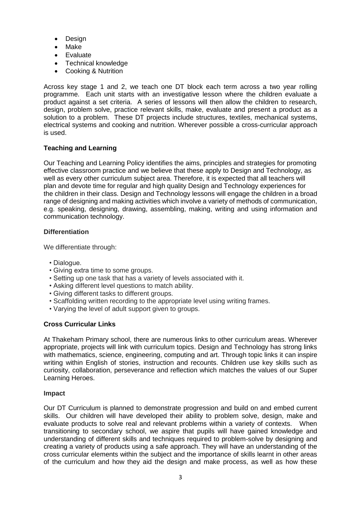- Design
- Make
- Evaluate
- Technical knowledge
- Cooking & Nutrition

Across key stage 1 and 2, we teach one DT block each term across a two year rolling programme. Each unit starts with an investigative lesson where the children evaluate a product against a set criteria. A series of lessons will then allow the children to research, design, problem solve, practice relevant skills, make, evaluate and present a product as a solution to a problem. These DT projects include structures, textiles, mechanical systems, electrical systems and cooking and nutrition. Wherever possible a cross-curricular approach is used.

# **Teaching and Learning**

Our Teaching and Learning Policy identifies the aims, principles and strategies for promoting effective classroom practice and we believe that these apply to Design and Technology, as well as every other curriculum subject area. Therefore, it is expected that all teachers will plan and devote time for regular and high quality Design and Technology experiences for the children in their class. Design and Technology lessons will engage the children in a broad range of designing and making activities which involve a variety of methods of communication, e.g. speaking, designing, drawing, assembling, making, writing and using information and communication technology.

## **Differentiation**

We differentiate through:

- Dialogue.
- Giving extra time to some groups.
- Setting up one task that has a variety of levels associated with it.
- Asking different level questions to match ability.
- Giving different tasks to different groups.
- Scaffolding written recording to the appropriate level using writing frames.
- Varying the level of adult support given to groups.

## **Cross Curricular Links**

At Thakeham Primary school, there are numerous links to other curriculum areas. Wherever appropriate, projects will link with curriculum topics. Design and Technology has strong links with mathematics, science, engineering, computing and art. Through topic links it can inspire writing within English of stories, instruction and recounts. Children use key skills such as curiosity, collaboration, perseverance and reflection which matches the values of our Super Learning Heroes.

## **Impact**

Our DT Curriculum is planned to demonstrate progression and build on and embed current skills. Our children will have developed their ability to problem solve, design, make and evaluate products to solve real and relevant problems within a variety of contexts. When transitioning to secondary school, we aspire that pupils will have gained knowledge and understanding of different skills and techniques required to problem-solve by designing and creating a variety of products using a safe approach. They will have an understanding of the cross curricular elements within the subject and the importance of skills learnt in other areas of the curriculum and how they aid the design and make process, as well as how these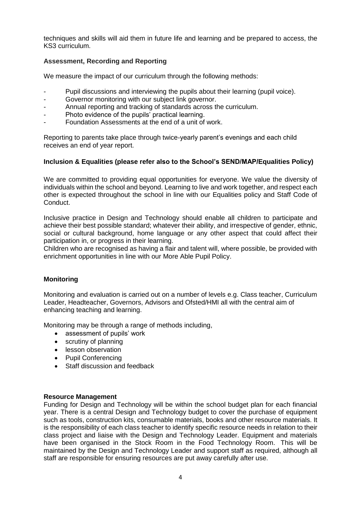techniques and skills will aid them in future life and learning and be prepared to access, the KS3 curriculum.

## **Assessment, Recording and Reporting**

We measure the impact of our curriculum through the following methods:

- Pupil discussions and interviewing the pupils about their learning (pupil voice).
- Governor monitoring with our subject link governor.
- Annual reporting and tracking of standards across the curriculum.
- Photo evidence of the pupils' practical learning.
- Foundation Assessments at the end of a unit of work.

Reporting to parents take place through twice-yearly parent's evenings and each child receives an end of year report.

## **Inclusion & Equalities (please refer also to the School's SEND/MAP/Equalities Policy)**

We are committed to providing equal opportunities for everyone. We value the diversity of individuals within the school and beyond. Learning to live and work together, and respect each other is expected throughout the school in line with our Equalities policy and Staff Code of Conduct.

Inclusive practice in Design and Technology should enable all children to participate and achieve their best possible standard; whatever their ability, and irrespective of gender, ethnic, social or cultural background, home language or any other aspect that could affect their participation in, or progress in their learning.

Children who are recognised as having a flair and talent will, where possible, be provided with enrichment opportunities in line with our More Able Pupil Policy.

## **Monitoring**

Monitoring and evaluation is carried out on a number of levels e.g. Class teacher, Curriculum Leader, Headteacher, Governors, Advisors and Ofsted/HMI all with the central aim of enhancing teaching and learning.

Monitoring may be through a range of methods including,

- assessment of pupils' work
- scrutiny of planning
- **•** lesson observation
- Pupil Conferencing
- Staff discussion and feedback

#### **Resource Management**

Funding for Design and Technology will be within the school budget plan for each financial year. There is a central Design and Technology budget to cover the purchase of equipment such as tools, construction kits, consumable materials, books and other resource materials. It is the responsibility of each class teacher to identify specific resource needs in relation to their class project and liaise with the Design and Technology Leader. Equipment and materials have been organised in the Stock Room in the Food Technology Room. This will be maintained by the Design and Technology Leader and support staff as required, although all staff are responsible for ensuring resources are put away carefully after use.